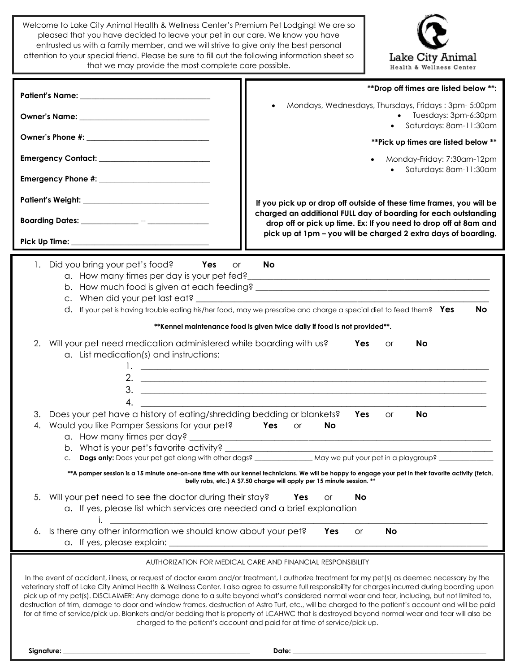Welcome to Lake City Animal Health & Wellness Center's Premium Pet Lodging! We are so pleased that you have decided to leave your pet in our care. We know you have entrusted us with a family member, and we will strive to give only the best personal attention to your special friend. Please be sure to fill out the following information sheet so that we may provide the most complete care possible.



|                                                                                                                                           | ** Drop off times are listed below **:                                                                                                                                                                                                                                                                                                                                                                                                                                                                                                                                                                                                                                                                                                                   |  |  |  |
|-------------------------------------------------------------------------------------------------------------------------------------------|----------------------------------------------------------------------------------------------------------------------------------------------------------------------------------------------------------------------------------------------------------------------------------------------------------------------------------------------------------------------------------------------------------------------------------------------------------------------------------------------------------------------------------------------------------------------------------------------------------------------------------------------------------------------------------------------------------------------------------------------------------|--|--|--|
|                                                                                                                                           | Mondays, Wednesdays, Thursdays, Fridays: 3pm- 5:00pm<br>• Tuesdays: 3pm-6:30pm<br>Saturdays: 8am-11:30am                                                                                                                                                                                                                                                                                                                                                                                                                                                                                                                                                                                                                                                 |  |  |  |
|                                                                                                                                           | ** Pick up times are listed below **                                                                                                                                                                                                                                                                                                                                                                                                                                                                                                                                                                                                                                                                                                                     |  |  |  |
|                                                                                                                                           | Monday-Friday: 7:30am-12pm                                                                                                                                                                                                                                                                                                                                                                                                                                                                                                                                                                                                                                                                                                                               |  |  |  |
|                                                                                                                                           | Saturdays: 8am-11:30am                                                                                                                                                                                                                                                                                                                                                                                                                                                                                                                                                                                                                                                                                                                                   |  |  |  |
|                                                                                                                                           | If you pick up or drop off outside of these time frames, you will be                                                                                                                                                                                                                                                                                                                                                                                                                                                                                                                                                                                                                                                                                     |  |  |  |
|                                                                                                                                           | charged an additional FULL day of boarding for each outstanding                                                                                                                                                                                                                                                                                                                                                                                                                                                                                                                                                                                                                                                                                          |  |  |  |
|                                                                                                                                           | drop off or pick up time. Ex: If you need to drop off at 8am and<br>pick up at 1pm - you will be charged 2 extra days of boarding.                                                                                                                                                                                                                                                                                                                                                                                                                                                                                                                                                                                                                       |  |  |  |
|                                                                                                                                           |                                                                                                                                                                                                                                                                                                                                                                                                                                                                                                                                                                                                                                                                                                                                                          |  |  |  |
| Did you bring your pet's food?<br>1.<br>Yes<br><b>or</b>                                                                                  | <b>No</b><br>d. If your pet is having trouble eating his/her food, may we prescribe and charge a special diet to feed them? Yes<br><b>No</b>                                                                                                                                                                                                                                                                                                                                                                                                                                                                                                                                                                                                             |  |  |  |
|                                                                                                                                           | ** Kennel maintenance food is given twice daily if food is not provided**.                                                                                                                                                                                                                                                                                                                                                                                                                                                                                                                                                                                                                                                                               |  |  |  |
| Will your pet need medication administered while boarding with us?<br>2.<br>a. List medication(s) and instructions:                       | Yes<br>No<br><b>or</b><br>2. $\overline{\phantom{a}}$                                                                                                                                                                                                                                                                                                                                                                                                                                                                                                                                                                                                                                                                                                    |  |  |  |
| 4.<br>Does your pet have a history of eating/shredding bedding or blankets?<br>3.<br>Would you like Pamper Sessions for your pet?<br>4.   | <b>Yes</b><br><b>No</b><br><b>or</b><br>Yes<br><b>No</b><br><b>or</b>                                                                                                                                                                                                                                                                                                                                                                                                                                                                                                                                                                                                                                                                                    |  |  |  |
|                                                                                                                                           | Dogs only: Does your pet get along with other dogs? ________________ May we put your pet in a playgroup? _                                                                                                                                                                                                                                                                                                                                                                                                                                                                                                                                                                                                                                               |  |  |  |
|                                                                                                                                           | **A pamper session is a 15 minute one-on-one time with our kennel technicians. We will be happy to engage your pet in their favorite activity (fetch,<br>belly rubs, etc.) A \$7.50 charge will apply per 15 minute session. **                                                                                                                                                                                                                                                                                                                                                                                                                                                                                                                          |  |  |  |
| Will your pet need to see the doctor during their stay?<br>5.<br>a. If yes, please list which services are needed and a brief explanation | No<br><b>Yes</b><br>or                                                                                                                                                                                                                                                                                                                                                                                                                                                                                                                                                                                                                                                                                                                                   |  |  |  |
| Is there any other information we should know about your pet?<br>6.<br>a. If yes, please explain:                                         | <b>No</b><br>Yes<br>or                                                                                                                                                                                                                                                                                                                                                                                                                                                                                                                                                                                                                                                                                                                                   |  |  |  |
|                                                                                                                                           | AUTHORIZATION FOR MEDICAL CARE AND FINANCIAL RESPONSIBILITY                                                                                                                                                                                                                                                                                                                                                                                                                                                                                                                                                                                                                                                                                              |  |  |  |
|                                                                                                                                           | In the event of accident, illness, or request of doctor exam and/or treatment, I authorize treatment for my pet(s) as deemed necessary by the<br>veterinary staff of Lake City Animal Health & Wellness Center. I also agree to assume full responsibility for charges incurred during boarding upon<br>pick up of my pet(s). DISCLAIMER: Any damage done to a suite beyond what's considered normal wear and tear, including, but not limited to,<br>destruction of trim, damage to door and window frames, destruction of Astro Turf, etc., will be charged to the patient's account and will be paid<br>for at time of service/pick up. Blankets and/or bedding that is property of LCAHWC that is destroyed beyond normal wear and tear will also be |  |  |  |

charged to the patient's account and paid for at time of service/pick up.